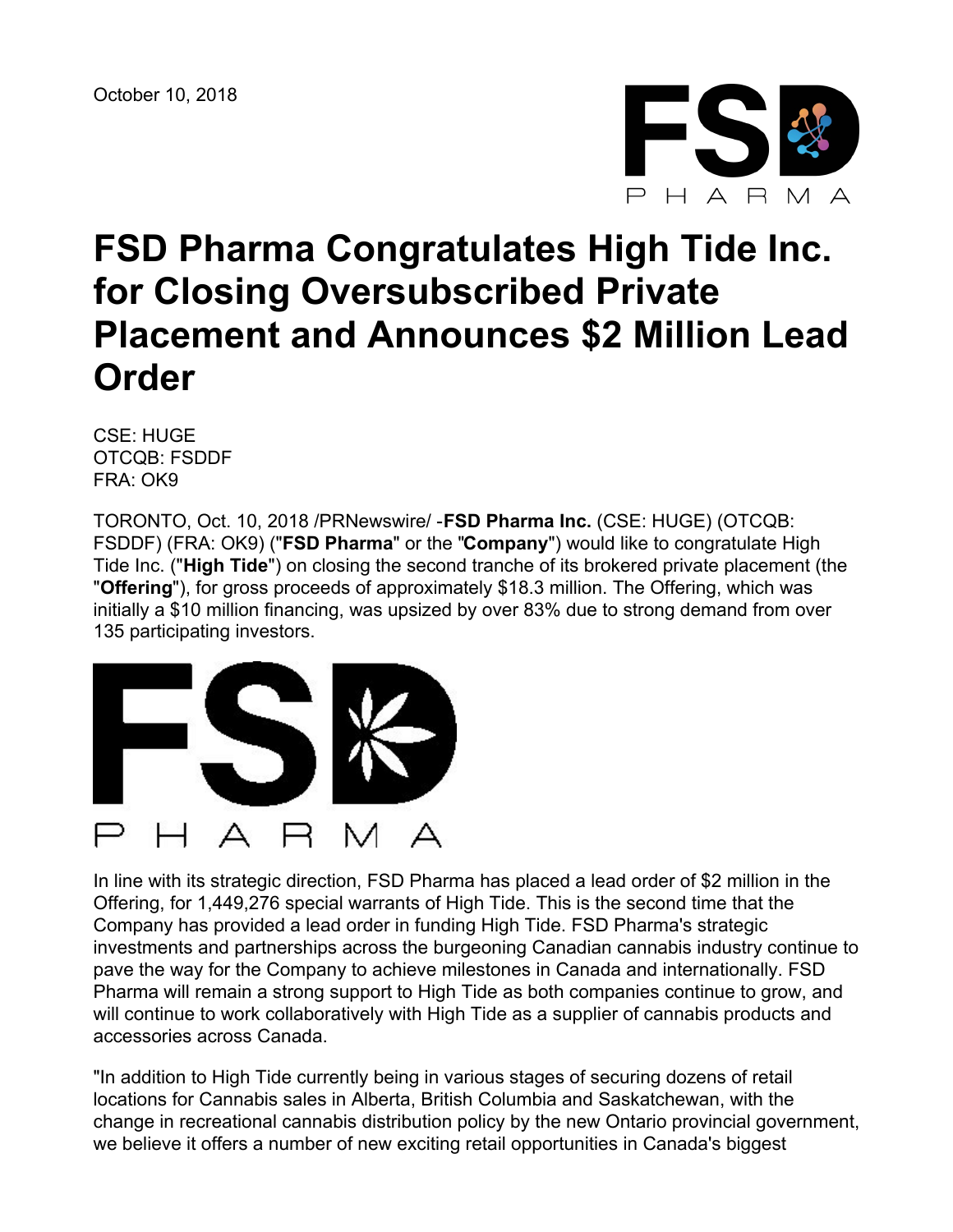

# **FSD Pharma Congratulates High Tide Inc. for Closing Oversubscribed Private Placement and Announces \$2 Million Lead Order**

CSE: HUGE OTCQB: FSDDF FRA: OK9

TORONTO, Oct. 10, 2018 /PRNewswire/ -**FSD Pharma Inc.** (CSE: HUGE) (OTCQB: FSDDF) (FRA: OK9) ("**FSD Pharma**" or the "**Company**") would like to congratulate High Tide Inc. ("**High Tide**") on closing the second tranche of its brokered private placement (the "**Offering**"), for gross proceeds of approximately \$18.3 million. The Offering, which was initially a \$10 million financing, was upsized by over 83% due to strong demand from over 135 participating investors.



In line with its strategic direction, FSD Pharma has placed a lead order of \$2 million in the Offering, for 1,449,276 special warrants of High Tide. This is the second time that the Company has provided a lead order in funding High Tide. FSD Pharma's strategic investments and partnerships across the burgeoning Canadian cannabis industry continue to pave the way for the Company to achieve milestones in Canada and internationally. FSD Pharma will remain a strong support to High Tide as both companies continue to grow, and will continue to work collaboratively with High Tide as a supplier of cannabis products and accessories across Canada.

"In addition to High Tide currently being in various stages of securing dozens of retail locations for Cannabis sales in Alberta, British Columbia and Saskatchewan, with the change in recreational cannabis distribution policy by the new Ontario provincial government, we believe it offers a number of new exciting retail opportunities in Canada's biggest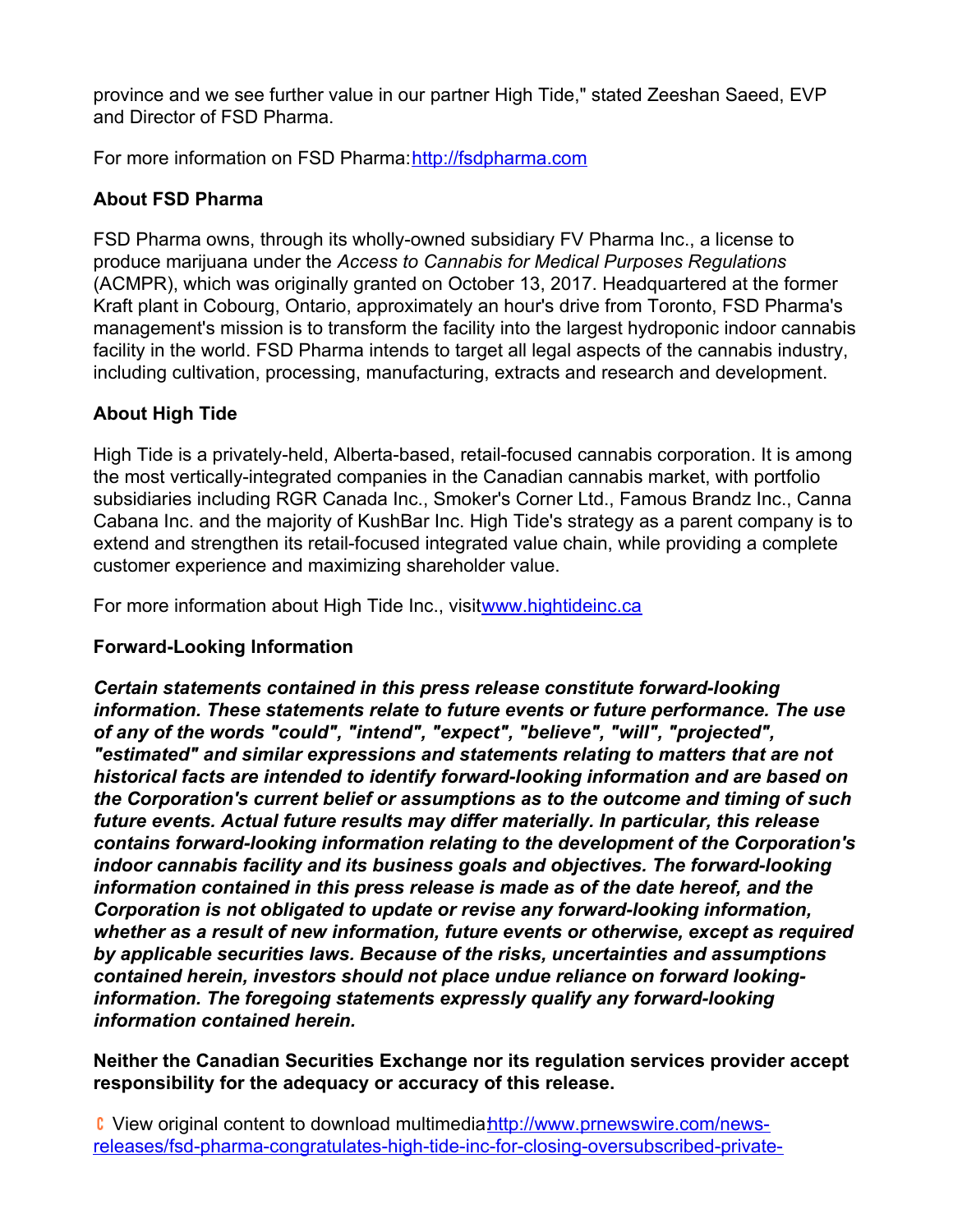province and we see further value in our partner High Tide," stated Zeeshan Saeed, EVP and Director of FSD Pharma.

For more information on FSD Pharma:[http://fsdpharma.com](http://fsdpharma.com/)

## **About FSD Pharma**

FSD Pharma owns, through its wholly-owned subsidiary FV Pharma Inc., a license to produce marijuana under the *Access to Cannabis for Medical Purposes Regulations* (ACMPR), which was originally granted on October 13, 2017. Headquartered at the former Kraft plant in Cobourg, Ontario, approximately an hour's drive from Toronto, FSD Pharma's management's mission is to transform the facility into the largest hydroponic indoor cannabis facility in the world. FSD Pharma intends to target all legal aspects of the cannabis industry, including cultivation, processing, manufacturing, extracts and research and development.

## **About High Tide**

High Tide is a privately-held, Alberta-based, retail-focused cannabis corporation. It is among the most vertically-integrated companies in the Canadian cannabis market, with portfolio subsidiaries including RGR Canada Inc., Smoker's Corner Ltd., Famous Brandz Inc., Canna Cabana Inc. and the majority of KushBar Inc. High Tide's strategy as a parent company is to extend and strengthen its retail-focused integrated value chain, while providing a complete customer experience and maximizing shareholder value.

For more information about High Tide Inc., visit[www.hightideinc.ca](http://www.hightideinc.ca/)

#### **Forward-Looking Information**

*Certain statements contained in this press release constitute forward-looking information. These statements relate to future events or future performance. The use of any of the words "could", "intend", "expect", "believe", "will", "projected", "estimated" and similar expressions and statements relating to matters that are not historical facts are intended to identify forward-looking information and are based on the Corporation's current belief or assumptions as to the outcome and timing of such future events. Actual future results may differ materially. In particular, this release contains forward-looking information relating to the development of the Corporation's indoor cannabis facility and its business goals and objectives. The forward-looking information contained in this press release is made as of the date hereof, and the Corporation is not obligated to update or revise any forward-looking information, whether as a result of new information, future events or otherwise, except as required by applicable securities laws. Because of the risks, uncertainties and assumptions contained herein, investors should not place undue reliance on forward lookinginformation. The foregoing statements expressly qualify any forward-looking information contained herein.*

#### **Neither the Canadian Securities Exchange nor its regulation services provider accept responsibility for the adequacy or accuracy of this release.**

C View original content to download multimediahttp://www.prnewswire.com/news[releases/fsd-pharma-congratulates-high-tide-inc-for-closing-oversubscribed-private-](http://www.prnewswire.com/news-releases/fsd-pharma-congratulates-high-tide-inc-for-closing-oversubscribed-private-placement-and-announces-2-million-lead-order-300728276.html)